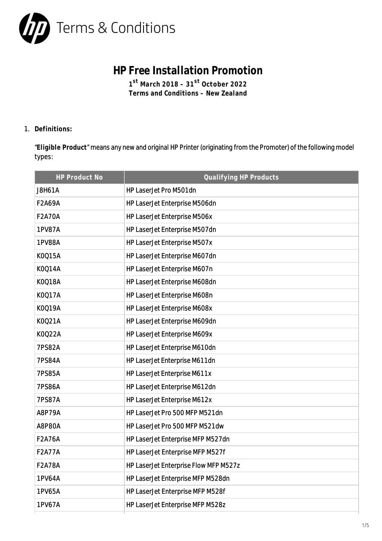

## **HP Free Installation Promotion**

**1 st March 2018 – 31st October 2022 Terms and Conditions – New Zealand**

1. **Definitions:**

"**Eligible Product**" means any new and original HP Printer (originating from the Promoter) of the following model types:

| HP Product No | Qualifying HP Products                |
|---------------|---------------------------------------|
| <b>J8H61A</b> | HP LaserJet Pro M501dn                |
| <b>F2A69A</b> | HP LaserJet Enterprise M506dn         |
| <b>F2A70A</b> | HP LaserJet Enterprise M506x          |
| <b>1PV87A</b> | HP LaserJet Enterprise M507dn         |
| 1PV88A        | HP LaserJet Enterprise M507x          |
| K0Q15A        | HP LaserJet Enterprise M607dn         |
| K0Q14A        | HP LaserJet Enterprise M607n          |
| K0Q18A        | HP LaserJet Enterprise M608dn         |
| K0Q17A        | HP LaserJet Enterprise M608n          |
| K0Q19A        | HP LaserJet Enterprise M608x          |
| K0Q21A        | HP LaserJet Enterprise M609dn         |
| K0Q22A        | HP LaserJet Enterprise M609x          |
| <b>7PS82A</b> | HP LaserJet Enterprise M610dn         |
| <b>7PS84A</b> | HP LaserJet Enterprise M611dn         |
| <b>7PS85A</b> | HP LaserJet Enterprise M611x          |
| <b>7PS86A</b> | HP LaserJet Enterprise M612dn         |
| <b>7PS87A</b> | HP LaserJet Enterprise M612x          |
| A8P79A        | HP LaserJet Pro 500 MFP M521dn        |
| <b>A8P80A</b> | HP LaserJet Pro 500 MFP M521dw        |
| <b>F2A76A</b> | HP LaserJet Enterprise MFP M527dn     |
| <b>F2A77A</b> | HP LaserJet Enterprise MFP M527f      |
| <b>F2A78A</b> | HP LaserJet Enterprise Flow MFP M527z |
| 1PV64A        | HP LaserJet Enterprise MFP M528dn     |
| 1PV65A        | HP LaserJet Enterprise MFP M528f      |
| 1PV67A        | HP LaserJet Enterprise MFP M528z      |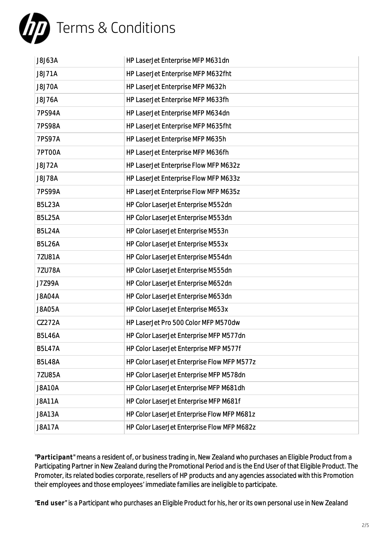

| <b>J8J71A</b><br>HP LaserJet Enterprise MFP M632fht<br>HP LaserJet Enterprise MFP M632h<br><b>J8J70A</b><br>HP LaserJet Enterprise MFP M633fh<br><b>J8J76A</b><br>HP LaserJet Enterprise MFP M634dn<br>7PS94A<br><b>7PS98A</b><br>HP LaserJet Enterprise MFP M635fht<br>HP LaserJet Enterprise MFP M635h<br><b>7PS97A</b><br><b>7PT00A</b><br>HP LaserJet Enterprise MFP M636fh<br>HP LaserJet Enterprise Flow MFP M632z<br><b>J8J72A</b><br>HP LaserJet Enterprise Flow MFP M633z<br><b>J8J78A</b><br>HP LaserJet Enterprise Flow MFP M635z<br><b>7PS99A</b><br><b>B5L23A</b><br>HP Color LaserJet Enterprise M552dn<br><b>B5L25A</b><br>HP Color LaserJet Enterprise M553dn<br>HP Color LaserJet Enterprise M553n<br><b>B5L24A</b> |
|--------------------------------------------------------------------------------------------------------------------------------------------------------------------------------------------------------------------------------------------------------------------------------------------------------------------------------------------------------------------------------------------------------------------------------------------------------------------------------------------------------------------------------------------------------------------------------------------------------------------------------------------------------------------------------------------------------------------------------------|
|                                                                                                                                                                                                                                                                                                                                                                                                                                                                                                                                                                                                                                                                                                                                      |
|                                                                                                                                                                                                                                                                                                                                                                                                                                                                                                                                                                                                                                                                                                                                      |
|                                                                                                                                                                                                                                                                                                                                                                                                                                                                                                                                                                                                                                                                                                                                      |
|                                                                                                                                                                                                                                                                                                                                                                                                                                                                                                                                                                                                                                                                                                                                      |
|                                                                                                                                                                                                                                                                                                                                                                                                                                                                                                                                                                                                                                                                                                                                      |
|                                                                                                                                                                                                                                                                                                                                                                                                                                                                                                                                                                                                                                                                                                                                      |
|                                                                                                                                                                                                                                                                                                                                                                                                                                                                                                                                                                                                                                                                                                                                      |
|                                                                                                                                                                                                                                                                                                                                                                                                                                                                                                                                                                                                                                                                                                                                      |
|                                                                                                                                                                                                                                                                                                                                                                                                                                                                                                                                                                                                                                                                                                                                      |
|                                                                                                                                                                                                                                                                                                                                                                                                                                                                                                                                                                                                                                                                                                                                      |
|                                                                                                                                                                                                                                                                                                                                                                                                                                                                                                                                                                                                                                                                                                                                      |
|                                                                                                                                                                                                                                                                                                                                                                                                                                                                                                                                                                                                                                                                                                                                      |
|                                                                                                                                                                                                                                                                                                                                                                                                                                                                                                                                                                                                                                                                                                                                      |
| <b>B5L26A</b><br>HP Color LaserJet Enterprise M553x                                                                                                                                                                                                                                                                                                                                                                                                                                                                                                                                                                                                                                                                                  |
| HP Color LaserJet Enterprise M554dn<br>7ZU81A                                                                                                                                                                                                                                                                                                                                                                                                                                                                                                                                                                                                                                                                                        |
| HP Color LaserJet Enterprise M555dn<br>7ZU78A                                                                                                                                                                                                                                                                                                                                                                                                                                                                                                                                                                                                                                                                                        |
| HP Color LaserJet Enterprise M652dn<br>J7Z99A                                                                                                                                                                                                                                                                                                                                                                                                                                                                                                                                                                                                                                                                                        |
| <b>J8A04A</b><br>HP Color LaserJet Enterprise M653dn                                                                                                                                                                                                                                                                                                                                                                                                                                                                                                                                                                                                                                                                                 |
| HP Color LaserJet Enterprise M653x<br><b>J8A05A</b>                                                                                                                                                                                                                                                                                                                                                                                                                                                                                                                                                                                                                                                                                  |
| HP LaserJet Pro 500 Color MFP M570dw<br>CZ272A                                                                                                                                                                                                                                                                                                                                                                                                                                                                                                                                                                                                                                                                                       |
| <b>B5L46A</b><br>HP Color LaserJet Enterprise MFP M577dn                                                                                                                                                                                                                                                                                                                                                                                                                                                                                                                                                                                                                                                                             |
| HP Color LaserJet Enterprise MFP M577f<br><b>B5L47A</b>                                                                                                                                                                                                                                                                                                                                                                                                                                                                                                                                                                                                                                                                              |
| HP Color LaserJet Enterprise Flow MFP M577z<br><b>B5L48A</b>                                                                                                                                                                                                                                                                                                                                                                                                                                                                                                                                                                                                                                                                         |
| 7ZU85A<br>HP Color LaserJet Enterprise MFP M578dn                                                                                                                                                                                                                                                                                                                                                                                                                                                                                                                                                                                                                                                                                    |
| <b>J8A10A</b><br>HP Color LaserJet Enterprise MFP M681dh                                                                                                                                                                                                                                                                                                                                                                                                                                                                                                                                                                                                                                                                             |
| HP Color LaserJet Enterprise MFP M681f<br><b>J8A11A</b>                                                                                                                                                                                                                                                                                                                                                                                                                                                                                                                                                                                                                                                                              |
| HP Color LaserJet Enterprise Flow MFP M681z<br><b>J8A13A</b>                                                                                                                                                                                                                                                                                                                                                                                                                                                                                                                                                                                                                                                                         |
| <b>J8A17A</b><br>HP Color LaserJet Enterprise Flow MFP M682z                                                                                                                                                                                                                                                                                                                                                                                                                                                                                                                                                                                                                                                                         |

"**Participant**" means a resident of, or business trading in, New Zealand who purchases an Eligible Product from a Participating Partner in New Zealand during the Promotional Period and is the End User of that Eligible Product. The Promoter, its related bodies corporate, resellers of HP products and any agencies associated with this Promotion their employees and those employees' immediate families are ineligible to participate.

"**End user**" is a Participant who purchases an Eligible Product for his, her or its own personal use in New Zealand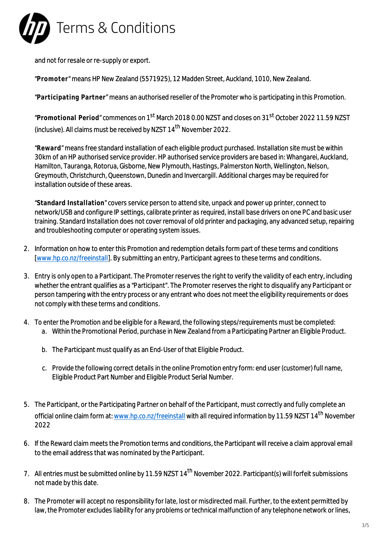

and not for resale or re-supply or export.

"**Promoter**" means HP New Zealand (5571925), 12 Madden Street, Auckland, 1010, New Zealand.

"**Participating Partner**" means an authorised reseller of the Promoter who is participating in this Promotion.

"**Promotional Period**" commences on 1st March 2018 0.00 NZST and closes on 31st October 2022 11.59 NZST (inclusive). All claims must be received by NZST  $14<sup>th</sup>$  November 2022.

"**Reward**" means free standard installation of each eligible product purchased. Installation site must be within 30km of an HP authorised service provider. HP authorised service providers are based in: Whangarei, Auckland, Hamilton, Tauranga, Rotorua, Gisborne, New Plymouth, Hastings, Palmerston North, Wellington, Nelson, Greymouth, Christchurch, Queenstown, Dunedin and Invercargill. Additional charges may be required for installation outside of these areas.

"**Standard Installation**" covers service person to attend site, unpack and power up printer, connect to network/USB and configure IP settings, calibrate printer as required, install base drivers on one PC and basic user training. Standard Installation does not cover removal of old printer and packaging, any advanced setup, repairing and troubleshooting computer or operating system issues.

- 2. Information on how to enter this Promotion and redemption details form part of these terms and conditions [\[www.hp.co.nz/freeinstall](http://www.hp.co.nz/freeinstall)]. By submitting an entry, Participant agrees to these terms and conditions.
- 3. Entry is only open to a Participant. The Promoter reserves the right to verify the validity of each entry, including whether the entrant qualifies as a "Participant". The Promoter reserves the right to disqualify any Participant or person tampering with the entry process or any entrant who does not meet the eligibility requirements or does not comply with these terms and conditions.
- 4. To enter the Promotion and be eligible for a Reward, the following steps/requirements must be completed: a. Within the Promotional Period, purchase in New Zealand from a Participating Partner an Eligible Product.
	- b. The Participant must qualify as an End-User of that Eligible Product.
	- c. Provide the following correct details in the online Promotion entry form: end user (customer) full name, Eligible Product Part Number and Eligible Product Serial Number.
- 5. The Participant, or the Participating Partner on behalf of the Participant, must correctly and fully complete an official online claim form at: [www.hp.co.nz/freeinstall](http://www.hp.co.nz/freeinstall) with all required information by 11.59 NZST 14<sup>th</sup> November 2022
- 6. If the Reward claim meets the Promotion terms and conditions, the Participant will receive a claim approval email to the email address that was nominated by the Participant.
- 7. All entries must be submitted online by 11.59 NZST 14<sup>th</sup> November 2022. Participant(s) will forfeit submissions not made by this date.
- 8. The Promoter will accept no responsibility for late, lost or misdirected mail. Further, to the extent permitted by law, the Promoter excludes liability for any problems or technical malfunction of any telephone network or lines,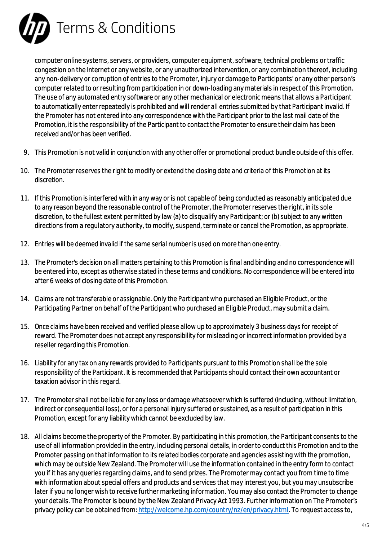

computer online systems, servers, or providers, computer equipment, software, technical problems or traffic congestion on the Internet or any website, or any unauthorized intervention, or any combination thereof, including any non-delivery or corruption of entries to the Promoter, injury or damage to Participants' or any other person's computer related to or resulting from participation in or down-loading any materials in respect of this Promotion. The use of any automated entry software or any other mechanical or electronic means that allows a Participant to automatically enter repeatedly is prohibited and will render all entries submitted by that Participant invalid. If the Promoter has not entered into any correspondence with the Participant prior to the last mail date of the Promotion, it is the responsibility of the Participant to contact the Promoter to ensure their claim has been received and/or has been verified.

- 9. This Promotion is not valid in conjunction with any other offer or promotional product bundle outside of this offer.
- 10. The Promoter reserves the right to modify or extend the closing date and criteria of this Promotion at its discretion.
- 11. If this Promotion is interfered with in any way or is not capable of being conducted as reasonably anticipated due to any reason beyond the reasonable control of the Promoter, the Promoter reserves the right, in its sole discretion, to the fullest extent permitted by law (a) to disqualify any Participant; or (b) subject to any written directions from a regulatory authority, to modify, suspend, terminate or cancel the Promotion, as appropriate.
- 12. Entries will be deemed invalid if the same serial number is used on more than one entry.
- 13. The Promoter's decision on all matters pertaining to this Promotion is final and binding and no correspondence will be entered into, except as otherwise stated in these terms and conditions. No correspondence will be entered into after 6 weeks of closing date of this Promotion.
- 14. Claims are not transferable or assignable. Only the Participant who purchased an Eligible Product, or the Participating Partner on behalf of the Participant who purchased an Eligible Product, may submit a claim.
- 15. Once claims have been received and verified please allow up to approximately 3 business days for receipt of reward. The Promoter does not accept any responsibility for misleading or incorrect information provided by a reseller regarding this Promotion.
- 16. Liability for any tax on any rewards provided to Participants pursuant to this Promotion shall be the sole responsibility of the Participant. It is recommended that Participants should contact their own accountant or taxation advisor in this regard.
- 17. The Promoter shall not be liable for any loss or damage whatsoever which is suffered (including, without limitation, indirect or consequential loss), or for a personal injury suffered or sustained, as a result of participation in this Promotion, except for any liability which cannot be excluded by law.
- 18. All claims become the property of the Promoter. By participating in this promotion, the Participant consents to the use of all information provided in the entry, including personal details, in order to conduct this Promotion and to the Promoter passing on that information to its related bodies corporate and agencies assisting with the promotion, which may be outside New Zealand. The Promoter will use the information contained in the entry form to contact you if it has any queries regarding claims, and to send prizes. The Promoter may contact you from time to time with information about special offers and products and services that may interest you, but you may unsubscribe later if you no longer wish to receive further marketing information. You may also contact the Promoter to change your details. The Promoter is bound by the New Zealand Privacy Act 1993. Further information on The Promoter's privacy policy can be obtained from: <http://welcome.hp.com/country/nz/en/privacy.html>. To request access to,